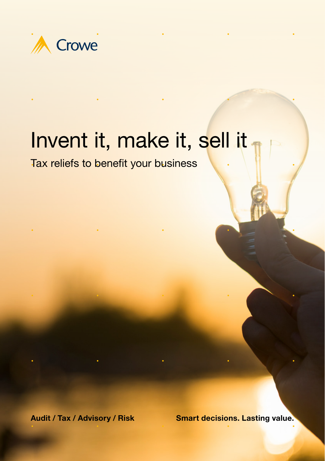

# Invent it, make it, sell it

Tax reliefs to benefit your business

Audit / Tax / Advisory / Risk Smart decisions. Lasting value.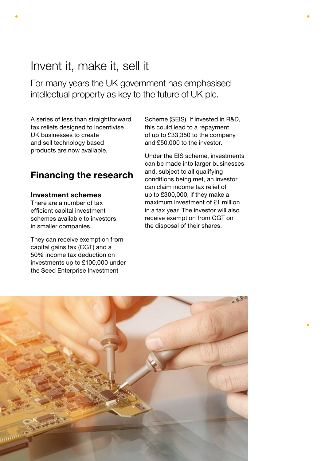## Invent it, make it, sell it

For many years the UK government has emphasised intellectual property as key to the future of UK plc.

A series of less than straightforward tax reliefs designed to incentivise UK businesses to create and sell technology based products are now available.

## Financing the research

### Investment schemes

There are a number of tax efficient capital investment schemes available to investors in smaller companies.

They can receive exemption from capital gains tax (CGT) and a 50% income tax deduction on investments up to £100,000 under the Seed Enterprise Investment

Scheme (SEIS). If invested in R&D, this could lead to a repayment of up to £33,350 to the company and £50,000 to the investor.

Under the EIS scheme, investments can be made into larger businesses and, subject to all qualifying conditions being met, an investor can claim income tax relief of up to £300,000, if they make a maximum investment of £1 million in a tax year. The investor will also receive exemption from CGT on the disposal of their shares.

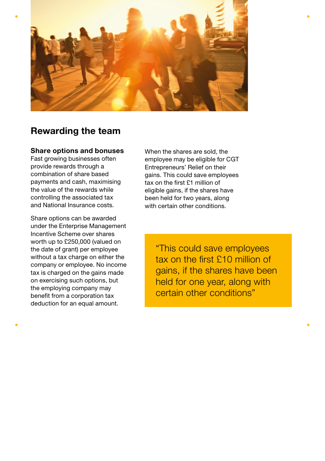

## Rewarding the team

### Share options and bonuses

Fast growing businesses often provide rewards through a combination of share based payments and cash, maximising the value of the rewards while controlling the associated tax and National Insurance costs.

Share options can be awarded under the Enterprise Management Incentive Scheme over shares worth up to £250,000 (valued on the date of grant) per employee without a tax charge on either the company or employee. No income tax is charged on the gains made on exercising such options, but the employing company may benefit from a corporation tax deduction for an equal amount.

When the shares are sold, the employee may be eligible for CGT Entrepreneurs' Relief on their gains. This could save employees tax on the first £1 million of eligible gains, if the shares have been held for two years, along with certain other conditions

> "This could save employees tax on the first £10 million of gains, if the shares have been held for one year, along with certain other conditions"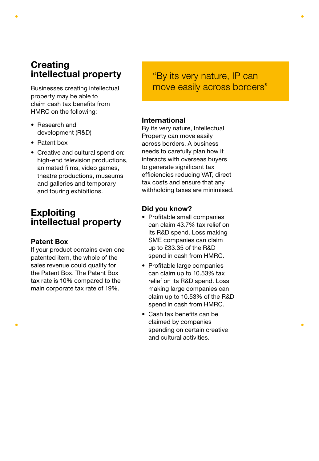## **Creating** intellectual property

Businesses creating intellectual property may be able to claim cash tax benefits from HMRC on the following:

- Research and development (R&D)
- Patent box
- Creative and cultural spend on: high-end television productions, animated films, video games, theatre productions, museums and galleries and temporary and touring exhibitions.

## **Exploiting** intellectual property

### Patent Box

If your product contains even one patented item, the whole of the sales revenue could qualify for the Patent Box. The Patent Box tax rate is 10% compared to the main corporate tax rate of 19%.

## "By its very nature, IP can move easily across borders"

### International

By its very nature, Intellectual Property can move easily across borders. A business needs to carefully plan how it interacts with overseas buyers to generate significant tax efficiencies reducing VAT, direct tax costs and ensure that any withholding taxes are minimised.

### Did you know?

- Profitable small companies can claim 43.7% tax relief on its R&D spend. Loss making SME companies can claim up to £33.35 of the R&D spend in cash from HMRC.
- Profitable large companies can claim up to 10.53% tax relief on its R&D spend. Loss making large companies can claim up to 10.53% of the R&D spend in cash from HMRC.
- Cash tax benefits can be claimed by companies spending on certain creative and cultural activities.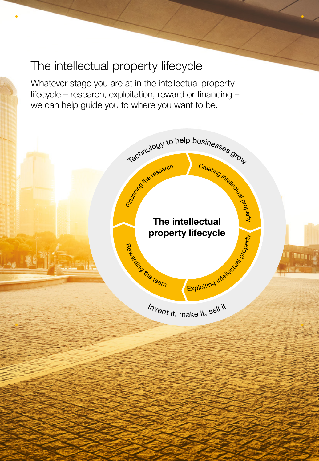## The intellectual property lifecycle

Whatever stage you are at in the intellectual property lifecycle – research, exploitation, reward or financing – we can help guide you to where you want to be.